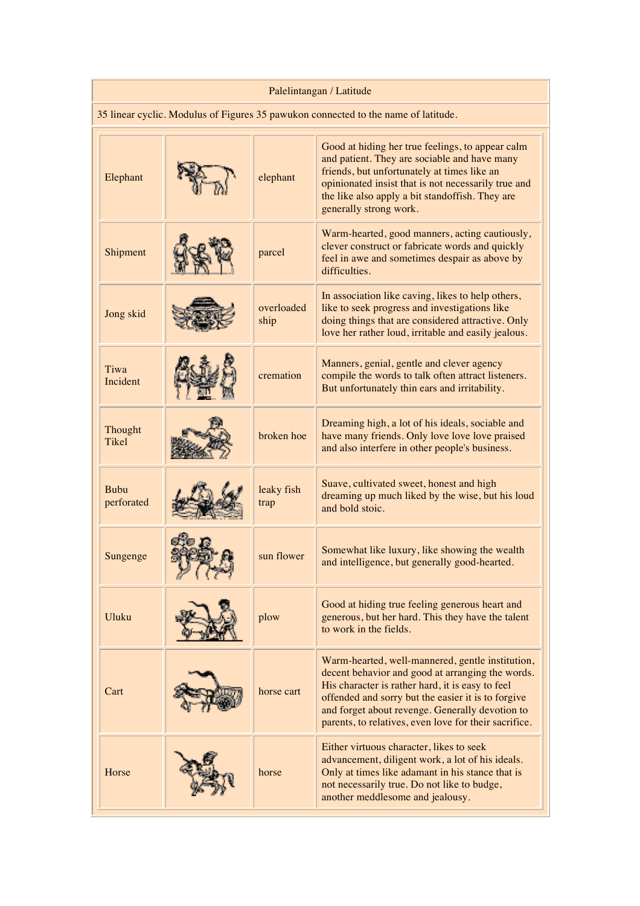| Palelintangan / Latitude                                                           |  |                    |                                                                                                                                                                                                                                                                                                                            |  |  |
|------------------------------------------------------------------------------------|--|--------------------|----------------------------------------------------------------------------------------------------------------------------------------------------------------------------------------------------------------------------------------------------------------------------------------------------------------------------|--|--|
| 35 linear cyclic. Modulus of Figures 35 pawukon connected to the name of latitude. |  |                    |                                                                                                                                                                                                                                                                                                                            |  |  |
| Elephant                                                                           |  | elephant           | Good at hiding her true feelings, to appear calm<br>and patient. They are sociable and have many<br>friends, but unfortunately at times like an<br>opinionated insist that is not necessarily true and<br>the like also apply a bit standoffish. They are<br>generally strong work.                                        |  |  |
| Shipment                                                                           |  | parcel             | Warm-hearted, good manners, acting cautiously,<br>clever construct or fabricate words and quickly<br>feel in awe and sometimes despair as above by<br>difficulties.                                                                                                                                                        |  |  |
| Jong skid                                                                          |  | overloaded<br>ship | In association like caving, likes to help others,<br>like to seek progress and investigations like<br>doing things that are considered attractive. Only<br>love her rather loud, irritable and easily jealous.                                                                                                             |  |  |
| Tiwa<br>Incident                                                                   |  | cremation          | Manners, genial, gentle and clever agency<br>compile the words to talk often attract listeners.<br>But unfortunately thin ears and irritability.                                                                                                                                                                           |  |  |
| Thought<br><b>Tikel</b>                                                            |  | broken hoe         | Dreaming high, a lot of his ideals, sociable and<br>have many friends. Only love love love praised<br>and also interfere in other people's business.                                                                                                                                                                       |  |  |
| <b>Bubu</b><br>perforated                                                          |  | leaky fish<br>trap | Suave, cultivated sweet, honest and high<br>dreaming up much liked by the wise, but his loud<br>and bold stoic.                                                                                                                                                                                                            |  |  |
| Sungenge                                                                           |  | sun flower         | Somewhat like luxury, like showing the wealth<br>and intelligence, but generally good-hearted.                                                                                                                                                                                                                             |  |  |
| Uluku                                                                              |  | plow               | Good at hiding true feeling generous heart and<br>generous, but her hard. This they have the talent<br>to work in the fields.                                                                                                                                                                                              |  |  |
| Cart                                                                               |  | horse cart         | Warm-hearted, well-mannered, gentle institution,<br>decent behavior and good at arranging the words.<br>His character is rather hard, it is easy to feel<br>offended and sorry but the easier it is to forgive<br>and forget about revenge. Generally devotion to<br>parents, to relatives, even love for their sacrifice. |  |  |
| Horse                                                                              |  | horse              | Either virtuous character, likes to seek<br>advancement, diligent work, a lot of his ideals.<br>Only at times like adamant in his stance that is<br>not necessarily true. Do not like to budge,<br>another meddlesome and jealousy.                                                                                        |  |  |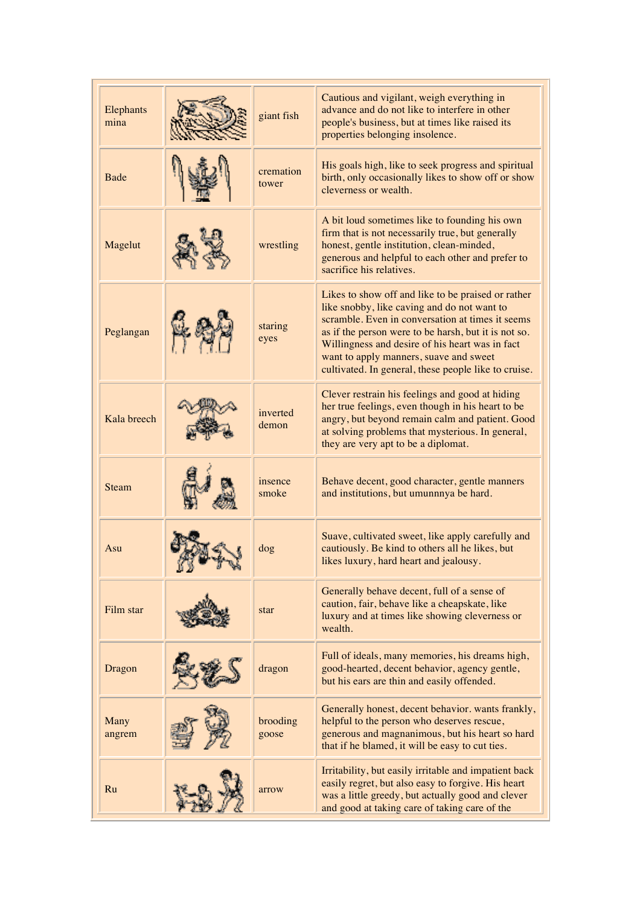| Elephants<br>mina | giant fish         | Cautious and vigilant, weigh everything in<br>advance and do not like to interfere in other<br>people's business, but at times like raised its<br>properties belonging insolence.                                                                                                                                                                                  |
|-------------------|--------------------|--------------------------------------------------------------------------------------------------------------------------------------------------------------------------------------------------------------------------------------------------------------------------------------------------------------------------------------------------------------------|
| <b>Bade</b>       | cremation<br>tower | His goals high, like to seek progress and spiritual<br>birth, only occasionally likes to show off or show<br>cleverness or wealth.                                                                                                                                                                                                                                 |
| Magelut           | wrestling          | A bit loud sometimes like to founding his own<br>firm that is not necessarily true, but generally<br>honest, gentle institution, clean-minded,<br>generous and helpful to each other and prefer to<br>sacrifice his relatives.                                                                                                                                     |
| Peglangan         | staring<br>eyes    | Likes to show off and like to be praised or rather<br>like snobby, like caving and do not want to<br>scramble. Even in conversation at times it seems<br>as if the person were to be harsh, but it is not so.<br>Willingness and desire of his heart was in fact<br>want to apply manners, suave and sweet<br>cultivated. In general, these people like to cruise. |
| Kala breech       | inverted<br>demon  | Clever restrain his feelings and good at hiding<br>her true feelings, even though in his heart to be<br>angry, but beyond remain calm and patient. Good<br>at solving problems that mysterious. In general,<br>they are very apt to be a diplomat.                                                                                                                 |
| <b>Steam</b>      | insence<br>smoke   | Behave decent, good character, gentle manners<br>and institutions, but umunnnya be hard.                                                                                                                                                                                                                                                                           |
| Asu               | dog                | Suave, cultivated sweet, like apply carefully and<br>cautiously. Be kind to others all he likes, but<br>likes luxury, hard heart and jealousy.                                                                                                                                                                                                                     |
| Film star         | star               | Generally behave decent, full of a sense of<br>caution, fair, behave like a cheapskate, like<br>luxury and at times like showing cleverness or<br>wealth.                                                                                                                                                                                                          |
| Dragon            | dragon             | Full of ideals, many memories, his dreams high,<br>good-hearted, decent behavior, agency gentle,<br>but his ears are thin and easily offended.                                                                                                                                                                                                                     |
| Many<br>angrem    | brooding<br>goose  | Generally honest, decent behavior. wants frankly,<br>helpful to the person who deserves rescue,<br>generous and magnanimous, but his heart so hard<br>that if he blamed, it will be easy to cut ties.                                                                                                                                                              |
| Ru                | arrow              | Irritability, but easily irritable and impatient back<br>easily regret, but also easy to forgive. His heart<br>was a little greedy, but actually good and clever<br>and good at taking care of taking care of the                                                                                                                                                  |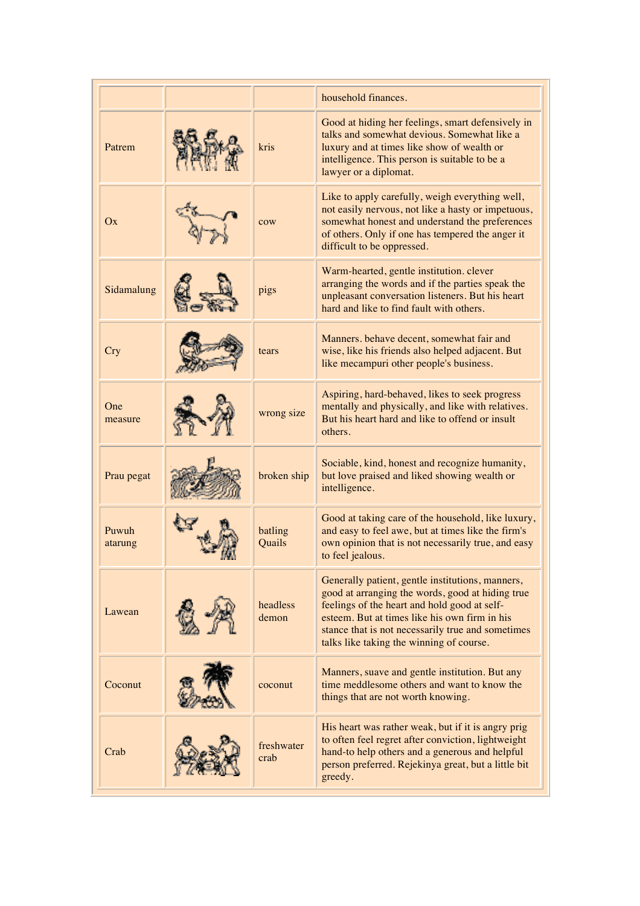|                  |                    | household finances.                                                                                                                                                                                                                                                                                    |
|------------------|--------------------|--------------------------------------------------------------------------------------------------------------------------------------------------------------------------------------------------------------------------------------------------------------------------------------------------------|
| Patrem           | kris               | Good at hiding her feelings, smart defensively in<br>talks and somewhat devious. Somewhat like a<br>luxury and at times like show of wealth or<br>intelligence. This person is suitable to be a<br>lawyer or a diplomat.                                                                               |
| Ox               | cow                | Like to apply carefully, weigh everything well,<br>not easily nervous, not like a hasty or impetuous,<br>somewhat honest and understand the preferences<br>of others. Only if one has tempered the anger it<br>difficult to be oppressed.                                                              |
| Sidamalung       | pigs               | Warm-hearted, gentle institution. clever<br>arranging the words and if the parties speak the<br>unpleasant conversation listeners. But his heart<br>hard and like to find fault with others.                                                                                                           |
| <b>Cry</b>       | tears              | Manners. behave decent, somewhat fair and<br>wise, like his friends also helped adjacent. But<br>like mecampuri other people's business.                                                                                                                                                               |
| One<br>measure   | wrong size         | Aspiring, hard-behaved, likes to seek progress<br>mentally and physically, and like with relatives.<br>But his heart hard and like to offend or insult<br>others.                                                                                                                                      |
| Prau pegat       | broken ship        | Sociable, kind, honest and recognize humanity,<br>but love praised and liked showing wealth or<br>intelligence.                                                                                                                                                                                        |
| Puwuh<br>atarung | batling<br>Quails  | Good at taking care of the household, like luxury,<br>and easy to feel awe, but at times like the firm's<br>own opinion that is not necessarily true, and easy<br>to feel jealous.                                                                                                                     |
| Lawean           | headless<br>demon  | Generally patient, gentle institutions, manners,<br>good at arranging the words, good at hiding true<br>feelings of the heart and hold good at self-<br>esteem. But at times like his own firm in his<br>stance that is not necessarily true and sometimes<br>talks like taking the winning of course. |
| Coconut          | coconut            | Manners, suave and gentle institution. But any<br>time meddlesome others and want to know the<br>things that are not worth knowing.                                                                                                                                                                    |
| Crab             | freshwater<br>crab | His heart was rather weak, but if it is angry prig<br>to often feel regret after conviction, lightweight<br>hand-to help others and a generous and helpful<br>person preferred. Rejekinya great, but a little bit<br>greedy.                                                                           |